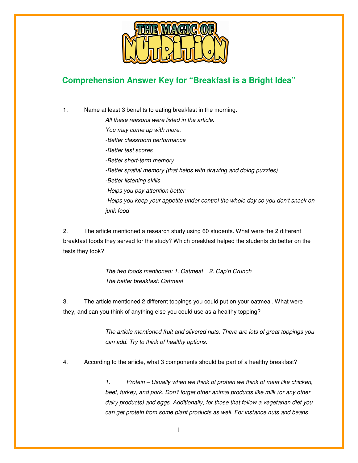

## **Comprehension Answer Key for "Breakfast is a Bright Idea"**

1. Name at least 3 benefits to eating breakfast in the morning. All these reasons were listed in the article. You may come up with more. -Better classroom performance -Better test scores -Better short-term memory -Better spatial memory (that helps with drawing and doing puzzles) -Better listening skills -Helps you pay attention better -Helps you keep your appetite under control the whole day so you don't snack on junk food

2. The article mentioned a research study using 60 students. What were the 2 different breakfast foods they served for the study? Which breakfast helped the students do better on the tests they took?

> The two foods mentioned: 1. Oatmeal 2. Cap'n Crunch The better breakfast: Oatmeal

3. The article mentioned 2 different toppings you could put on your oatmeal. What were they, and can you think of anything else you could use as a healthy topping?

> The article mentioned fruit and slivered nuts. There are lots of great toppings you can add. Try to think of healthy options.

4. According to the article, what 3 components should be part of a healthy breakfast?

1. Protein – Usually when we think of protein we think of meat like chicken, beef, turkey, and pork. Don't forget other animal products like milk (or any other dairy products) and eggs. Additionally, for those that follow a vegetarian diet you can get protein from some plant products as well. For instance nuts and beans